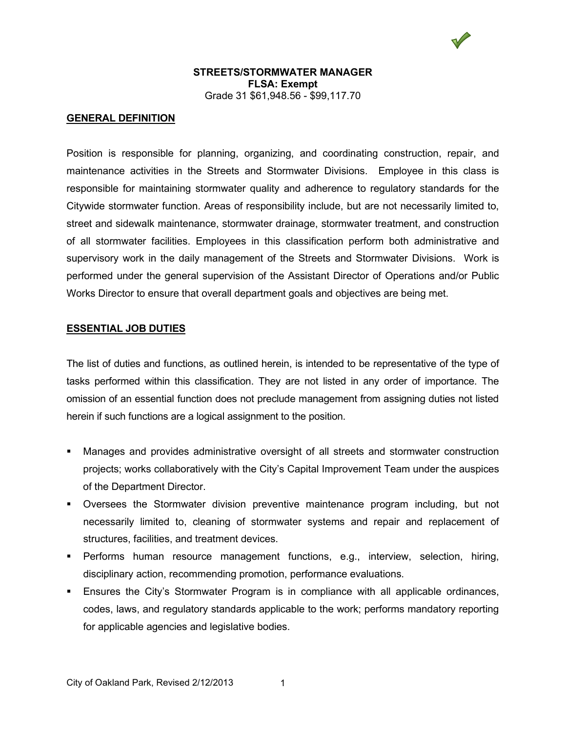

### **GENERAL DEFINITION**

Position is responsible for planning, organizing, and coordinating construction, repair, and maintenance activities in the Streets and Stormwater Divisions. Employee in this class is responsible for maintaining stormwater quality and adherence to regulatory standards for the Citywide stormwater function. Areas of responsibility include, but are not necessarily limited to, street and sidewalk maintenance, stormwater drainage, stormwater treatment, and construction of all stormwater facilities. Employees in this classification perform both administrative and supervisory work in the daily management of the Streets and Stormwater Divisions. Work is performed under the general supervision of the Assistant Director of Operations and/or Public Works Director to ensure that overall department goals and objectives are being met.

#### **ESSENTIAL JOB DUTIES**

The list of duties and functions, as outlined herein, is intended to be representative of the type of tasks performed within this classification. They are not listed in any order of importance. The omission of an essential function does not preclude management from assigning duties not listed herein if such functions are a logical assignment to the position.

- Manages and provides administrative oversight of all streets and stormwater construction projects; works collaboratively with the City's Capital Improvement Team under the auspices of the Department Director.
- Oversees the Stormwater division preventive maintenance program including, but not necessarily limited to, cleaning of stormwater systems and repair and replacement of structures, facilities, and treatment devices.
- Performs human resource management functions, e.g., interview, selection, hiring, disciplinary action, recommending promotion, performance evaluations.
- Ensures the City's Stormwater Program is in compliance with all applicable ordinances, codes, laws, and regulatory standards applicable to the work; performs mandatory reporting for applicable agencies and legislative bodies.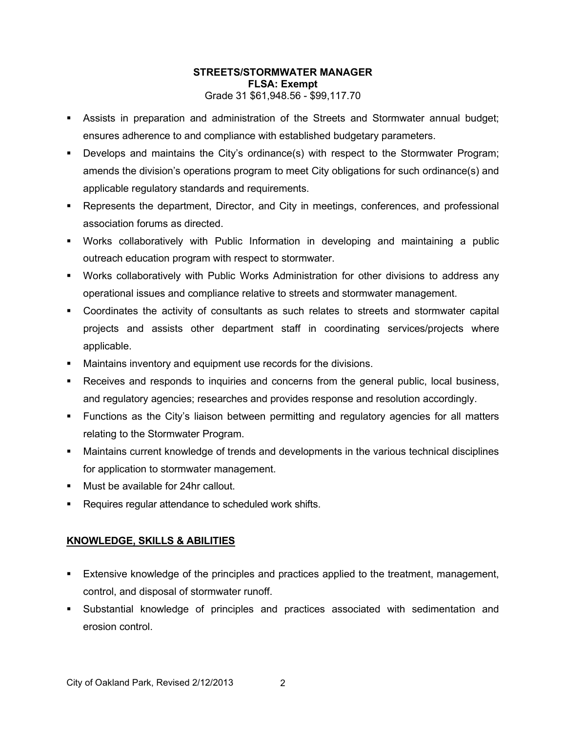- Assists in preparation and administration of the Streets and Stormwater annual budget; ensures adherence to and compliance with established budgetary parameters.
- Develops and maintains the City's ordinance(s) with respect to the Stormwater Program; amends the division's operations program to meet City obligations for such ordinance(s) and applicable regulatory standards and requirements.
- Represents the department, Director, and City in meetings, conferences, and professional association forums as directed.
- Works collaboratively with Public Information in developing and maintaining a public outreach education program with respect to stormwater.
- Works collaboratively with Public Works Administration for other divisions to address any operational issues and compliance relative to streets and stormwater management.
- Coordinates the activity of consultants as such relates to streets and stormwater capital projects and assists other department staff in coordinating services/projects where applicable.
- Maintains inventory and equipment use records for the divisions.
- **Receives and responds to inquiries and concerns from the general public, local business,** and regulatory agencies; researches and provides response and resolution accordingly.
- Functions as the City's liaison between permitting and regulatory agencies for all matters relating to the Stormwater Program.
- Maintains current knowledge of trends and developments in the various technical disciplines for application to stormwater management.
- **Must be available for 24hr callout.**
- Requires regular attendance to scheduled work shifts.

# **KNOWLEDGE, SKILLS & ABILITIES**

- **Extensive knowledge of the principles and practices applied to the treatment, management,** control, and disposal of stormwater runoff.
- Substantial knowledge of principles and practices associated with sedimentation and erosion control.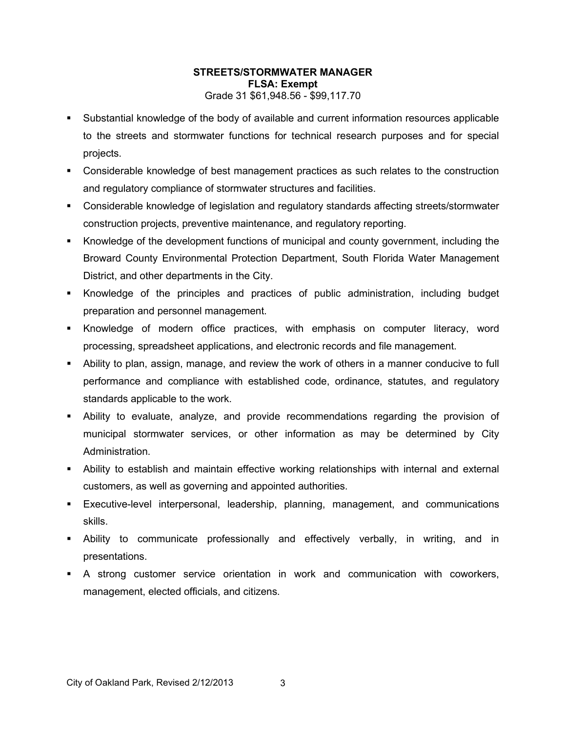- Substantial knowledge of the body of available and current information resources applicable to the streets and stormwater functions for technical research purposes and for special projects.
- Considerable knowledge of best management practices as such relates to the construction and regulatory compliance of stormwater structures and facilities.
- Considerable knowledge of legislation and regulatory standards affecting streets/stormwater construction projects, preventive maintenance, and regulatory reporting.
- Knowledge of the development functions of municipal and county government, including the Broward County Environmental Protection Department, South Florida Water Management District, and other departments in the City.
- Knowledge of the principles and practices of public administration, including budget preparation and personnel management.
- Knowledge of modern office practices, with emphasis on computer literacy, word processing, spreadsheet applications, and electronic records and file management.
- Ability to plan, assign, manage, and review the work of others in a manner conducive to full performance and compliance with established code, ordinance, statutes, and regulatory standards applicable to the work.
- Ability to evaluate, analyze, and provide recommendations regarding the provision of municipal stormwater services, or other information as may be determined by City Administration.
- Ability to establish and maintain effective working relationships with internal and external customers, as well as governing and appointed authorities.
- Executive-level interpersonal, leadership, planning, management, and communications skills.
- Ability to communicate professionally and effectively verbally, in writing, and in presentations.
- A strong customer service orientation in work and communication with coworkers, management, elected officials, and citizens.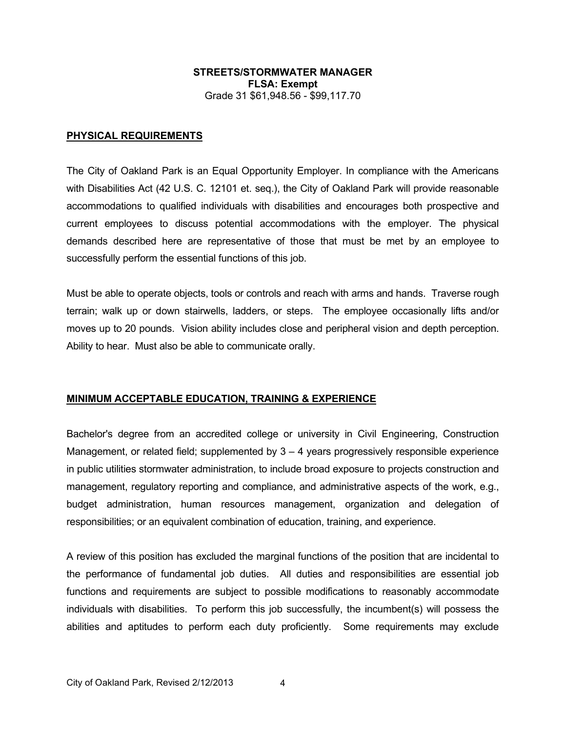#### **PHYSICAL REQUIREMENTS**

The City of Oakland Park is an Equal Opportunity Employer. In compliance with the Americans with Disabilities Act (42 U.S. C. 12101 et. seq.), the City of Oakland Park will provide reasonable accommodations to qualified individuals with disabilities and encourages both prospective and current employees to discuss potential accommodations with the employer. The physical demands described here are representative of those that must be met by an employee to successfully perform the essential functions of this job.

Must be able to operate objects, tools or controls and reach with arms and hands. Traverse rough terrain; walk up or down stairwells, ladders, or steps. The employee occasionally lifts and/or moves up to 20 pounds. Vision ability includes close and peripheral vision and depth perception. Ability to hear. Must also be able to communicate orally.

#### **MINIMUM ACCEPTABLE EDUCATION, TRAINING & EXPERIENCE**

Bachelor's degree from an accredited college or university in Civil Engineering, Construction Management, or related field; supplemented by  $3 - 4$  years progressively responsible experience in public utilities stormwater administration, to include broad exposure to projects construction and management, regulatory reporting and compliance, and administrative aspects of the work, e.g., budget administration, human resources management, organization and delegation of responsibilities; or an equivalent combination of education, training, and experience.

A review of this position has excluded the marginal functions of the position that are incidental to the performance of fundamental job duties. All duties and responsibilities are essential job functions and requirements are subject to possible modifications to reasonably accommodate individuals with disabilities. To perform this job successfully, the incumbent(s) will possess the abilities and aptitudes to perform each duty proficiently. Some requirements may exclude